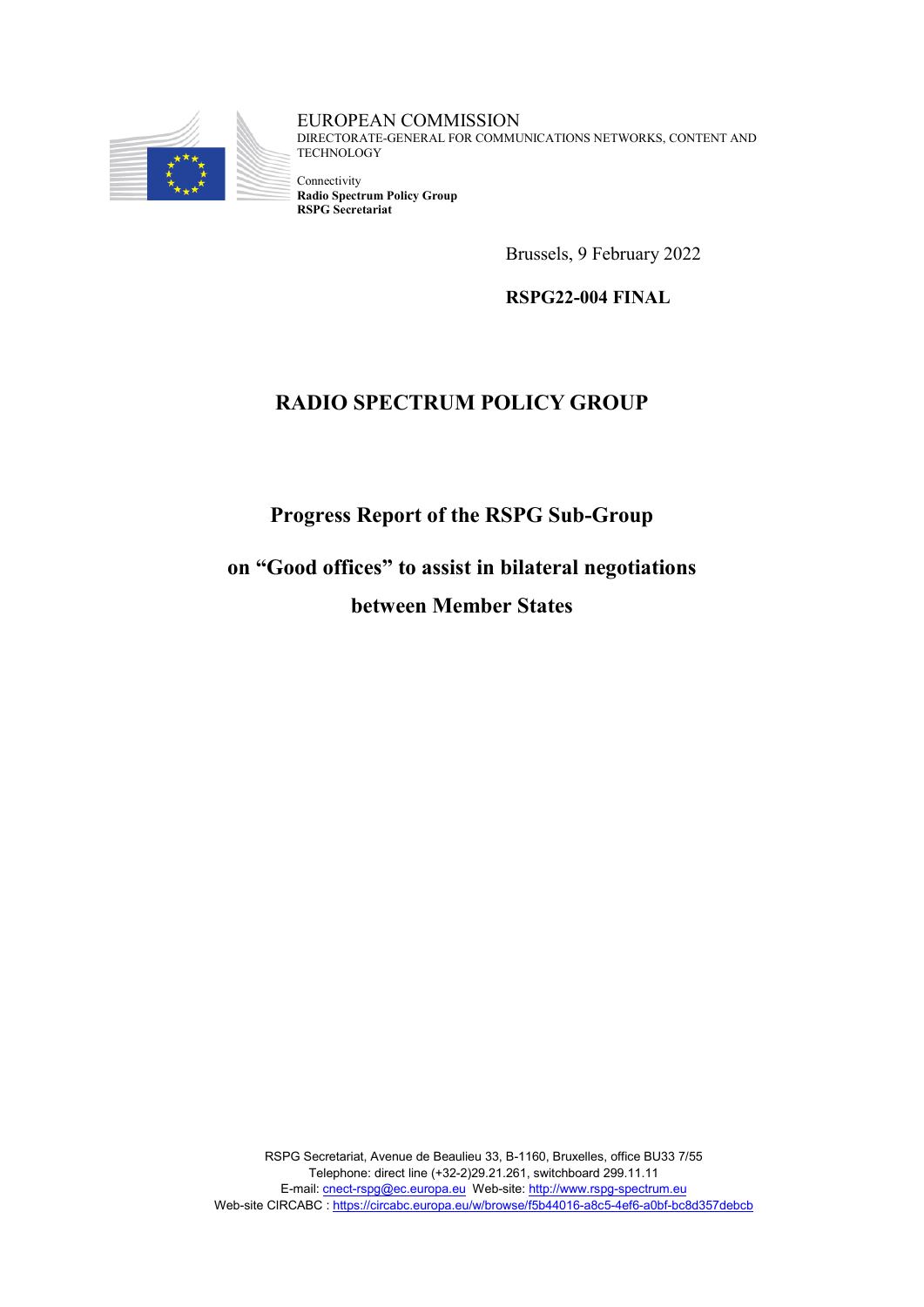

EUROPEAN COMMISSION DIRECTORATE-GENERAL FOR COMMUNICATIONS NETWORKS, CONTENT AND **TECHNOLOGY** 

Connectivity **Radio Spectrum Policy Group RSPG Secretariat**

Brussels, 9 February 2022

**RSPG22-004 FINAL**

# **RADIO SPECTRUM POLICY GROUP**

**Progress Report of the RSPG Sub-Group** 

**on "Good offices" to assist in bilateral negotiations between Member States**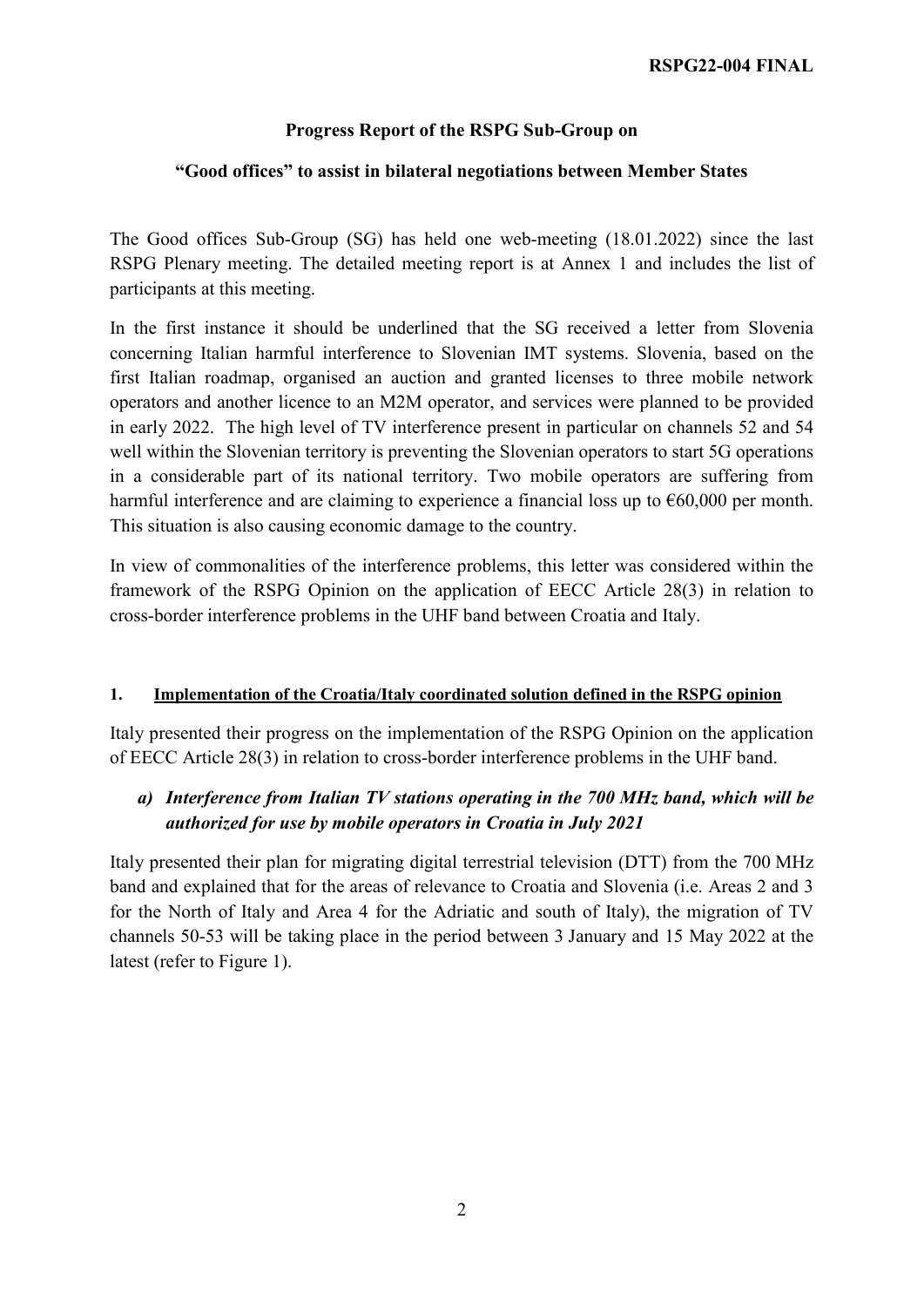## **Progress Report of the RSPG Sub-Group on**

### **"Good offices" to assist in bilateral negotiations between Member States**

The Good offices Sub-Group (SG) has held one web-meeting (18.01.2022) since the last RSPG Plenary meeting. The detailed meeting report is at Annex 1 and includes the list of participants at this meeting.

In the first instance it should be underlined that the SG received a letter from Slovenia concerning Italian harmful interference to Slovenian IMT systems. Slovenia, based on the first Italian roadmap, organised an auction and granted licenses to three mobile network operators and another licence to an M2M operator, and services were planned to be provided in early 2022. The high level of TV interference present in particular on channels 52 and 54 well within the Slovenian territory is preventing the Slovenian operators to start 5G operations in a considerable part of its national territory. Two mobile operators are suffering from harmful interference and are claiming to experience a financial loss up to  $\epsilon$ 60,000 per month. This situation is also causing economic damage to the country.

In view of commonalities of the interference problems, this letter was considered within the framework of the RSPG Opinion on the application of EECC Article 28(3) in relation to cross-border interference problems in the UHF band between Croatia and Italy.

### **1. Implementation of the Croatia/Italy coordinated solution defined in the RSPG opinion**

Italy presented their progress on the implementation of the RSPG Opinion on the application of EECC Article 28(3) in relation to cross-border interference problems in the UHF band.

## *a) Interference from Italian TV stations operating in the 700 MHz band, which will be authorized for use by mobile operators in Croatia in July 2021*

Italy presented their plan for migrating digital terrestrial television (DTT) from the 700 MHz band and explained that for the areas of relevance to Croatia and Slovenia (i.e. Areas 2 and 3 for the North of Italy and Area 4 for the Adriatic and south of Italy), the migration of TV channels 50-53 will be taking place in the period between 3 January and 15 May 2022 at the latest (refer to Figure 1).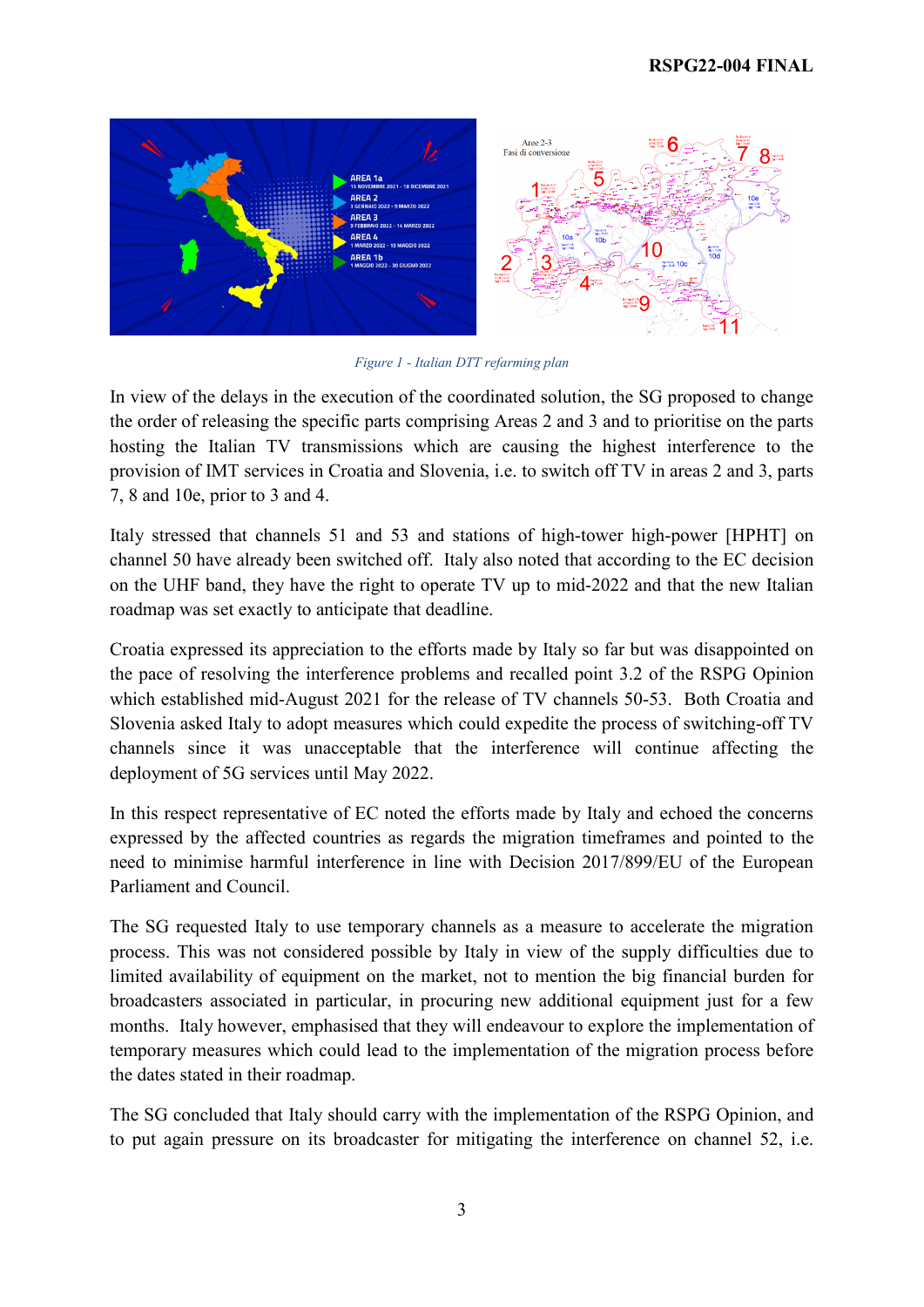

*Figure 1 - Italian DTT refarming plan*

In view of the delays in the execution of the coordinated solution, the SG proposed to change the order of releasing the specific parts comprising Areas 2 and 3 and to prioritise on the parts hosting the Italian TV transmissions which are causing the highest interference to the provision of IMT services in Croatia and Slovenia, i.e. to switch off TV in areas 2 and 3, parts 7, 8 and 10e, prior to 3 and 4.

Italy stressed that channels 51 and 53 and stations of high-tower high-power [HPHT] on channel 50 have already been switched off. Italy also noted that according to the EC decision on the UHF band, they have the right to operate TV up to mid-2022 and that the new Italian roadmap was set exactly to anticipate that deadline.

Croatia expressed its appreciation to the efforts made by Italy so far but was disappointed on the pace of resolving the interference problems and recalled point 3.2 of the RSPG Opinion which established mid-August 2021 for the release of TV channels 50-53. Both Croatia and Slovenia asked Italy to adopt measures which could expedite the process of switching-off TV channels since it was unacceptable that the interference will continue affecting the deployment of 5G services until May 2022.

In this respect representative of EC noted the efforts made by Italy and echoed the concerns expressed by the affected countries as regards the migration timeframes and pointed to the need to minimise harmful interference in line with Decision 2017/899/EU of the European Parliament and Council.

The SG requested Italy to use temporary channels as a measure to accelerate the migration process. This was not considered possible by Italy in view of the supply difficulties due to limited availability of equipment on the market, not to mention the big financial burden for broadcasters associated in particular, in procuring new additional equipment just for a few months. Italy however, emphasised that they will endeavour to explore the implementation of temporary measures which could lead to the implementation of the migration process before the dates stated in their roadmap.

The SG concluded that Italy should carry with the implementation of the RSPG Opinion, and to put again pressure on its broadcaster for mitigating the interference on channel 52, i.e.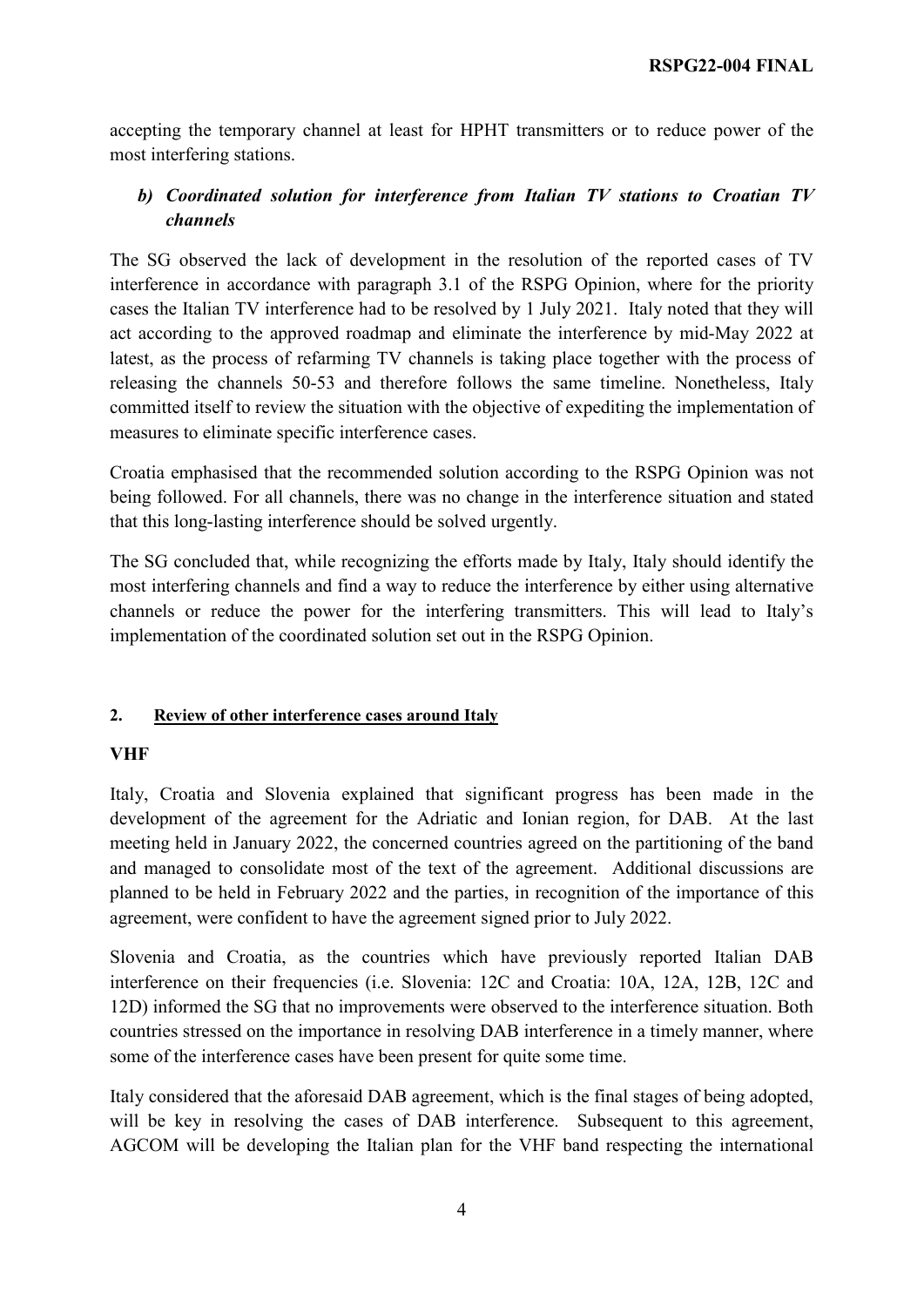accepting the temporary channel at least for HPHT transmitters or to reduce power of the most interfering stations.

# *b) Coordinated solution for interference from Italian TV stations to Croatian TV channels*

The SG observed the lack of development in the resolution of the reported cases of TV interference in accordance with paragraph 3.1 of the RSPG Opinion, where for the priority cases the Italian TV interference had to be resolved by 1 July 2021. Italy noted that they will act according to the approved roadmap and eliminate the interference by mid-May 2022 at latest, as the process of refarming TV channels is taking place together with the process of releasing the channels 50-53 and therefore follows the same timeline. Nonetheless, Italy committed itself to review the situation with the objective of expediting the implementation of measures to eliminate specific interference cases.

Croatia emphasised that the recommended solution according to the RSPG Opinion was not being followed. For all channels, there was no change in the interference situation and stated that this long-lasting interference should be solved urgently.

The SG concluded that, while recognizing the efforts made by Italy, Italy should identify the most interfering channels and find a way to reduce the interference by either using alternative channels or reduce the power for the interfering transmitters. This will lead to Italy's implementation of the coordinated solution set out in the RSPG Opinion.

### **2. Review of other interference cases around Italy**

### **VHF**

Italy, Croatia and Slovenia explained that significant progress has been made in the development of the agreement for the Adriatic and Ionian region, for DAB. At the last meeting held in January 2022, the concerned countries agreed on the partitioning of the band and managed to consolidate most of the text of the agreement. Additional discussions are planned to be held in February 2022 and the parties, in recognition of the importance of this agreement, were confident to have the agreement signed prior to July 2022.

Slovenia and Croatia, as the countries which have previously reported Italian DAB interference on their frequencies (i.e. Slovenia: 12C and Croatia: 10A, 12A, 12B, 12C and 12D) informed the SG that no improvements were observed to the interference situation. Both countries stressed on the importance in resolving DAB interference in a timely manner, where some of the interference cases have been present for quite some time.

Italy considered that the aforesaid DAB agreement, which is the final stages of being adopted, will be key in resolving the cases of DAB interference. Subsequent to this agreement, AGCOM will be developing the Italian plan for the VHF band respecting the international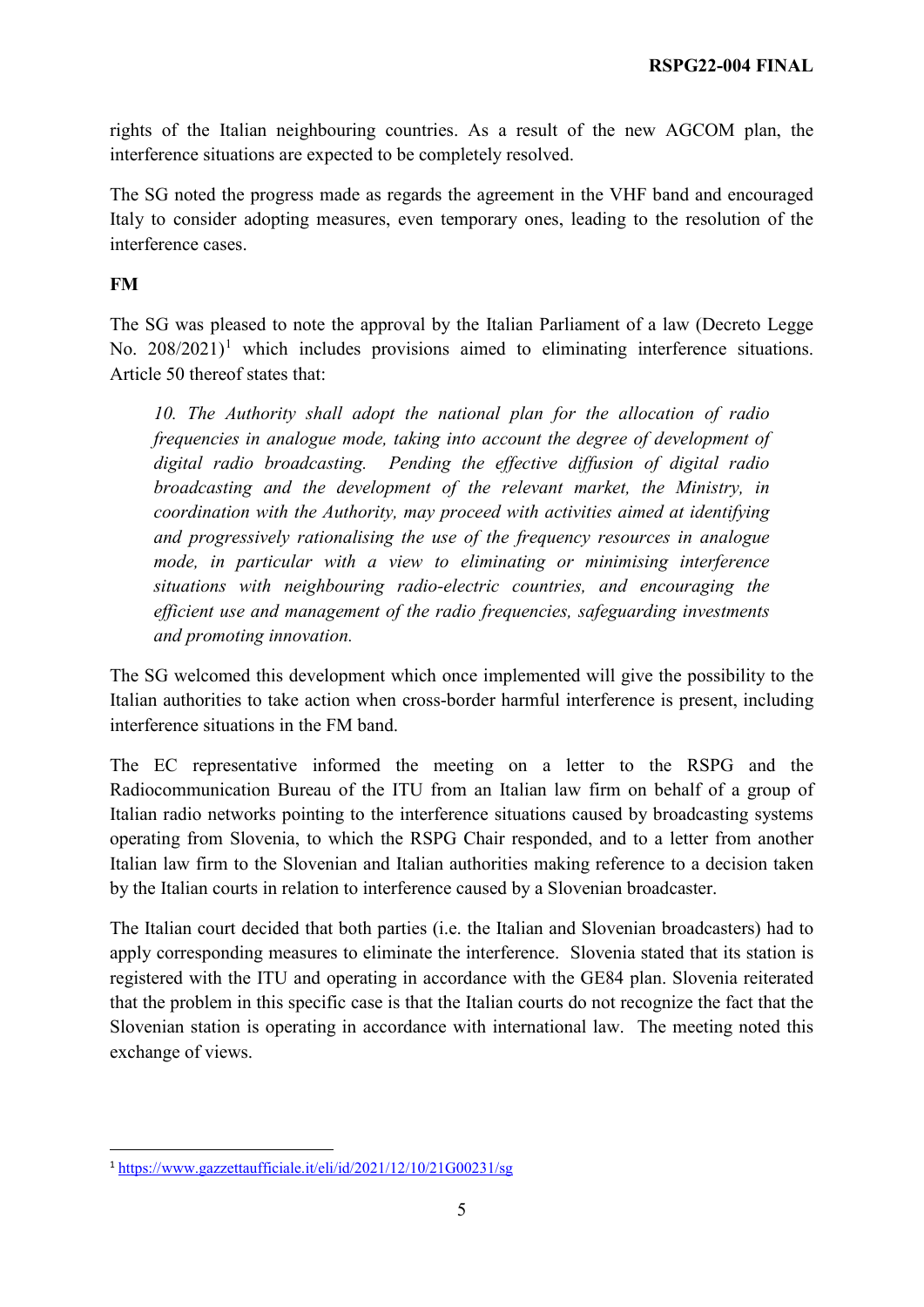rights of the Italian neighbouring countries. As a result of the new AGCOM plan, the interference situations are expected to be completely resolved.

The SG noted the progress made as regards the agreement in the VHF band and encouraged Italy to consider adopting measures, even temporary ones, leading to the resolution of the interference cases.

## **FM**

The SG was pleased to note the approval by the Italian Parliament of a law (Decreto Legge No.  $208/2021$  $208/2021$ <sup>1</sup> which includes provisions aimed to eliminating interference situations. Article 50 thereof states that:

*10. The Authority shall adopt the national plan for the allocation of radio frequencies in analogue mode, taking into account the degree of development of digital radio broadcasting. Pending the effective diffusion of digital radio broadcasting and the development of the relevant market, the Ministry, in coordination with the Authority, may proceed with activities aimed at identifying and progressively rationalising the use of the frequency resources in analogue mode, in particular with a view to eliminating or minimising interference situations with neighbouring radio-electric countries, and encouraging the efficient use and management of the radio frequencies, safeguarding investments and promoting innovation.* 

The SG welcomed this development which once implemented will give the possibility to the Italian authorities to take action when cross-border harmful interference is present, including interference situations in the FM band.

The EC representative informed the meeting on a letter to the RSPG and the Radiocommunication Bureau of the ITU from an Italian law firm on behalf of a group of Italian radio networks pointing to the interference situations caused by broadcasting systems operating from Slovenia, to which the RSPG Chair responded, and to a letter from another Italian law firm to the Slovenian and Italian authorities making reference to a decision taken by the Italian courts in relation to interference caused by a Slovenian broadcaster.

The Italian court decided that both parties (i.e. the Italian and Slovenian broadcasters) had to apply corresponding measures to eliminate the interference. Slovenia stated that its station is registered with the ITU and operating in accordance with the GE84 plan. Slovenia reiterated that the problem in this specific case is that the Italian courts do not recognize the fact that the Slovenian station is operating in accordance with international law. The meeting noted this exchange of views.

<span id="page-4-0"></span> <sup>1</sup> <https://www.gazzettaufficiale.it/eli/id/2021/12/10/21G00231/sg>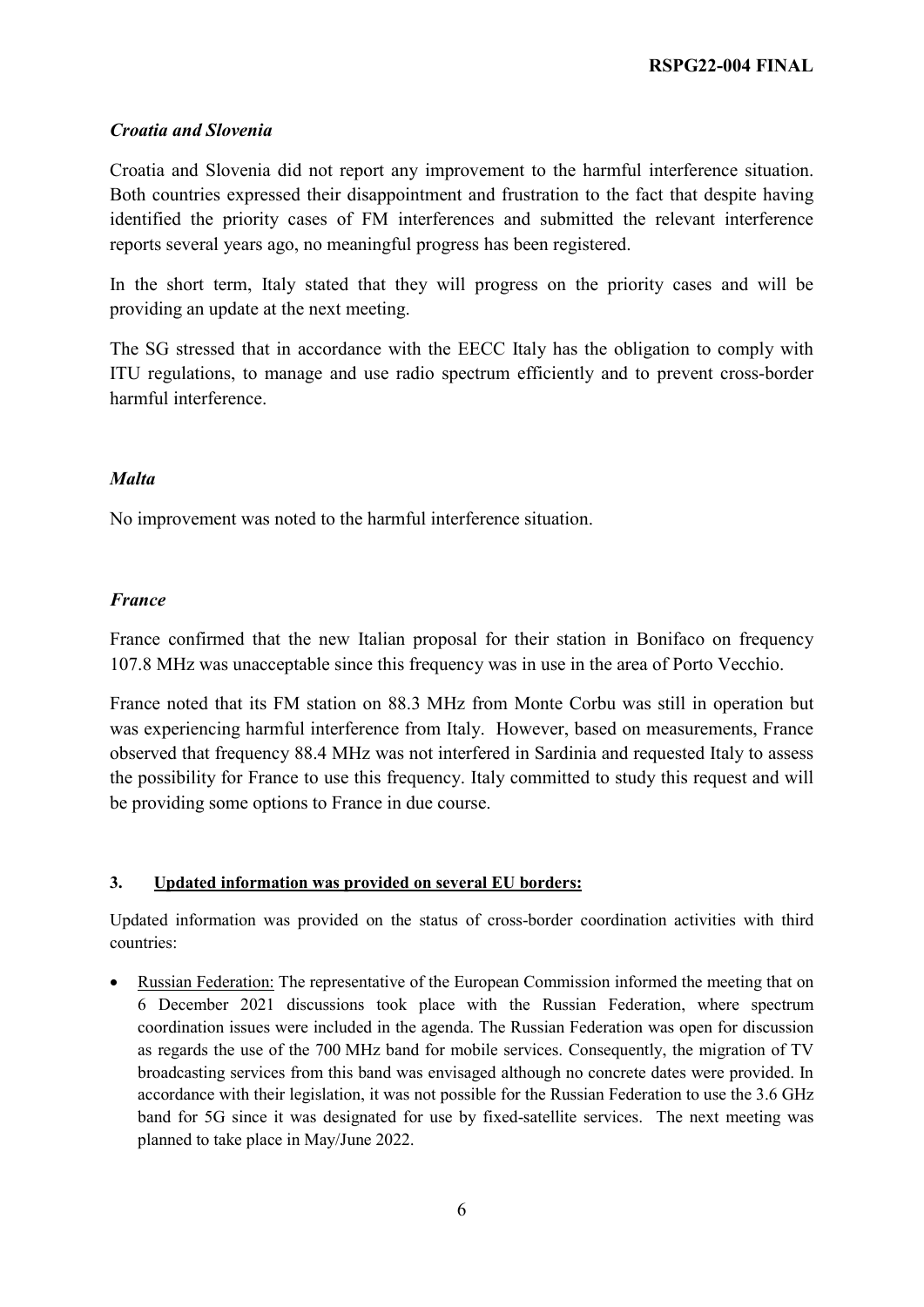### *Croatia and Slovenia*

Croatia and Slovenia did not report any improvement to the harmful interference situation. Both countries expressed their disappointment and frustration to the fact that despite having identified the priority cases of FM interferences and submitted the relevant interference reports several years ago, no meaningful progress has been registered.

In the short term, Italy stated that they will progress on the priority cases and will be providing an update at the next meeting.

The SG stressed that in accordance with the EECC Italy has the obligation to comply with ITU regulations, to manage and use radio spectrum efficiently and to prevent cross-border harmful interference.

### *Malta*

No improvement was noted to the harmful interference situation.

### *France*

France confirmed that the new Italian proposal for their station in Bonifaco on frequency 107.8 MHz was unacceptable since this frequency was in use in the area of Porto Vecchio.

France noted that its FM station on 88.3 MHz from Monte Corbu was still in operation but was experiencing harmful interference from Italy. However, based on measurements, France observed that frequency 88.4 MHz was not interfered in Sardinia and requested Italy to assess the possibility for France to use this frequency. Italy committed to study this request and will be providing some options to France in due course.

### **3. Updated information was provided on several EU borders:**

Updated information was provided on the status of cross-border coordination activities with third countries:

• Russian Federation: The representative of the European Commission informed the meeting that on 6 December 2021 discussions took place with the Russian Federation, where spectrum coordination issues were included in the agenda. The Russian Federation was open for discussion as regards the use of the 700 MHz band for mobile services. Consequently, the migration of TV broadcasting services from this band was envisaged although no concrete dates were provided. In accordance with their legislation, it was not possible for the Russian Federation to use the 3.6 GHz band for 5G since it was designated for use by fixed-satellite services. The next meeting was planned to take place in May/June 2022.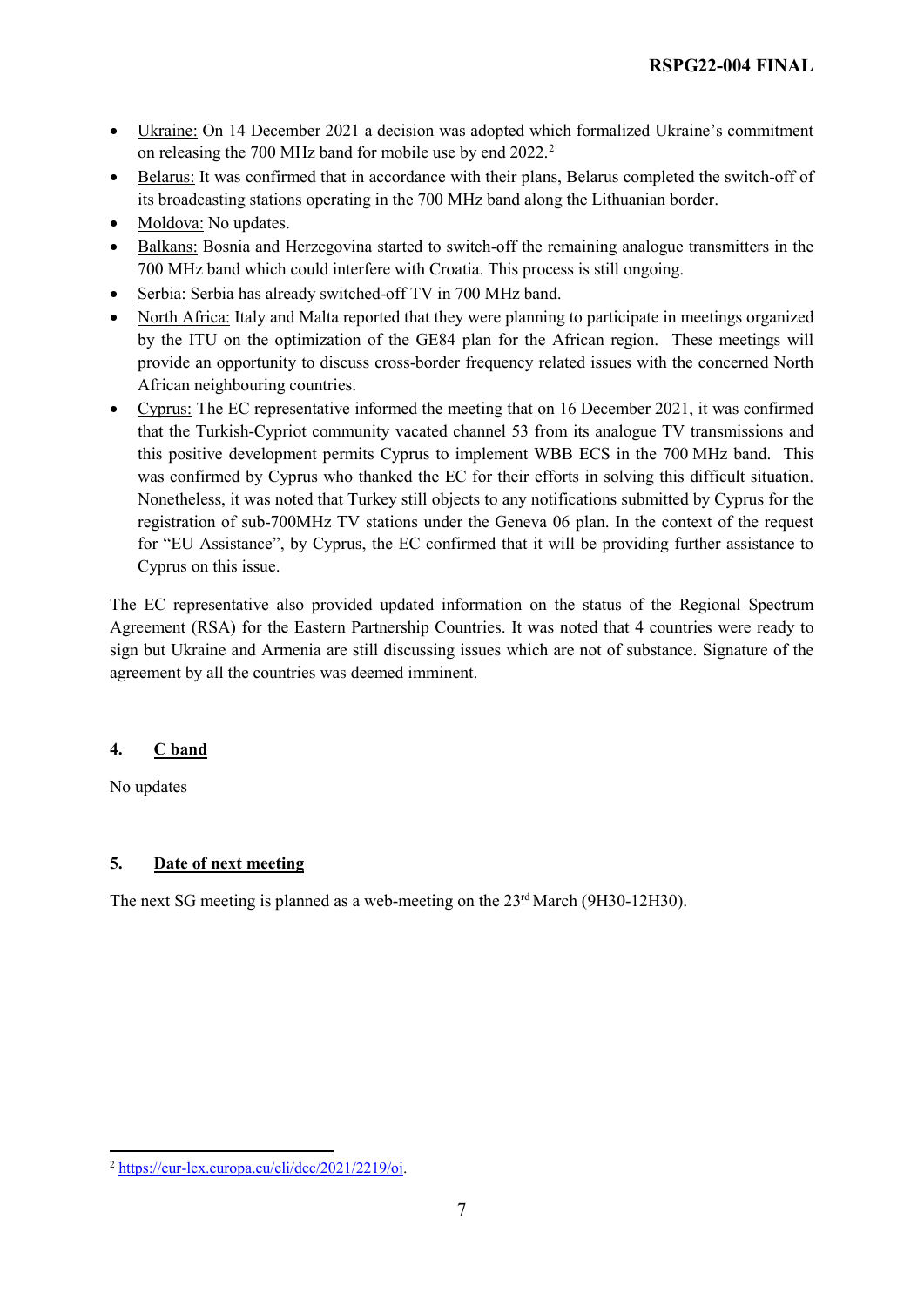- Ukraine: On 14 December 2021 a decision was adopted which formalized Ukraine's commitment on releasing the 700 MHz band for mobile use by end [2](#page-6-0)022.<sup>2</sup>
- Belarus: It was confirmed that in accordance with their plans, Belarus completed the switch-off of its broadcasting stations operating in the 700 MHz band along the Lithuanian border.
- Moldova: No updates.
- Balkans: Bosnia and Herzegovina started to switch-off the remaining analogue transmitters in the 700 MHz band which could interfere with Croatia. This process is still ongoing.
- Serbia: Serbia has already switched-off TV in 700 MHz band.
- North Africa: Italy and Malta reported that they were planning to participate in meetings organized by the ITU on the optimization of the GE84 plan for the African region. These meetings will provide an opportunity to discuss cross-border frequency related issues with the concerned North African neighbouring countries.
- Cyprus: The EC representative informed the meeting that on 16 December 2021, it was confirmed that the Turkish-Cypriot community vacated channel 53 from its analogue TV transmissions and this positive development permits Cyprus to implement WBB ECS in the 700 MHz band. This was confirmed by Cyprus who thanked the EC for their efforts in solving this difficult situation. Nonetheless, it was noted that Turkey still objects to any notifications submitted by Cyprus for the registration of sub-700MHz TV stations under the Geneva 06 plan. In the context of the request for "EU Assistance", by Cyprus, the EC confirmed that it will be providing further assistance to Cyprus on this issue.

The EC representative also provided updated information on the status of the Regional Spectrum Agreement (RSA) for the Eastern Partnership Countries. It was noted that 4 countries were ready to sign but Ukraine and Armenia are still discussing issues which are not of substance. Signature of the agreement by all the countries was deemed imminent.

### **4. C band**

No updates

### **5. Date of next meeting**

The next SG meeting is planned as a web-meeting on the 23<sup>rd</sup> March (9H30-12H30).

<span id="page-6-0"></span> $\overline{a}$ <sup>2</sup> [https://eur-lex.europa.eu/eli/dec/2021/2219/oj.](https://eur-lex.europa.eu/eli/dec/2021/2219/oj)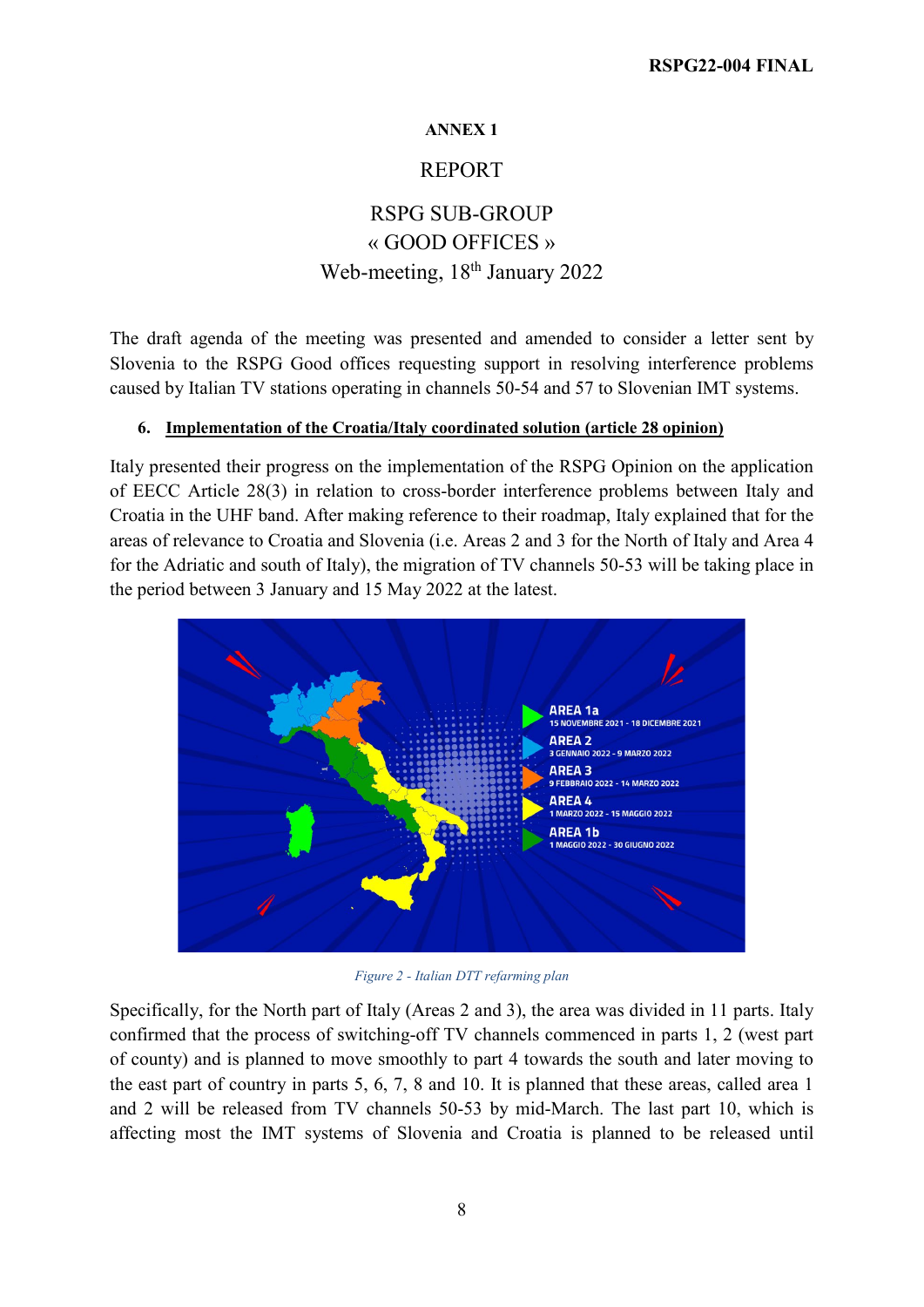### **ANNEX 1**

## REPORT

# RSPG SUB-GROUP « GOOD OFFICES » Web-meeting, 18<sup>th</sup> January 2022

The draft agenda of the meeting was presented and amended to consider a letter sent by Slovenia to the RSPG Good offices requesting support in resolving interference problems caused by Italian TV stations operating in channels 50-54 and 57 to Slovenian IMT systems.

### **6. Implementation of the Croatia/Italy coordinated solution (article 28 opinion)**

Italy presented their progress on the implementation of the RSPG Opinion on the application of EECC Article 28(3) in relation to cross-border interference problems between Italy and Croatia in the UHF band. After making reference to their roadmap, Italy explained that for the areas of relevance to Croatia and Slovenia (i.e. Areas 2 and 3 for the North of Italy and Area 4 for the Adriatic and south of Italy), the migration of TV channels 50-53 will be taking place in the period between 3 January and 15 May 2022 at the latest.



*Figure 2 - Italian DTT refarming plan*

Specifically, for the North part of Italy (Areas 2 and 3), the area was divided in 11 parts. Italy confirmed that the process of switching-off TV channels commenced in parts 1, 2 (west part of county) and is planned to move smoothly to part 4 towards the south and later moving to the east part of country in parts 5, 6, 7, 8 and 10. It is planned that these areas, called area 1 and 2 will be released from TV channels 50-53 by mid-March. The last part 10, which is affecting most the IMT systems of Slovenia and Croatia is planned to be released until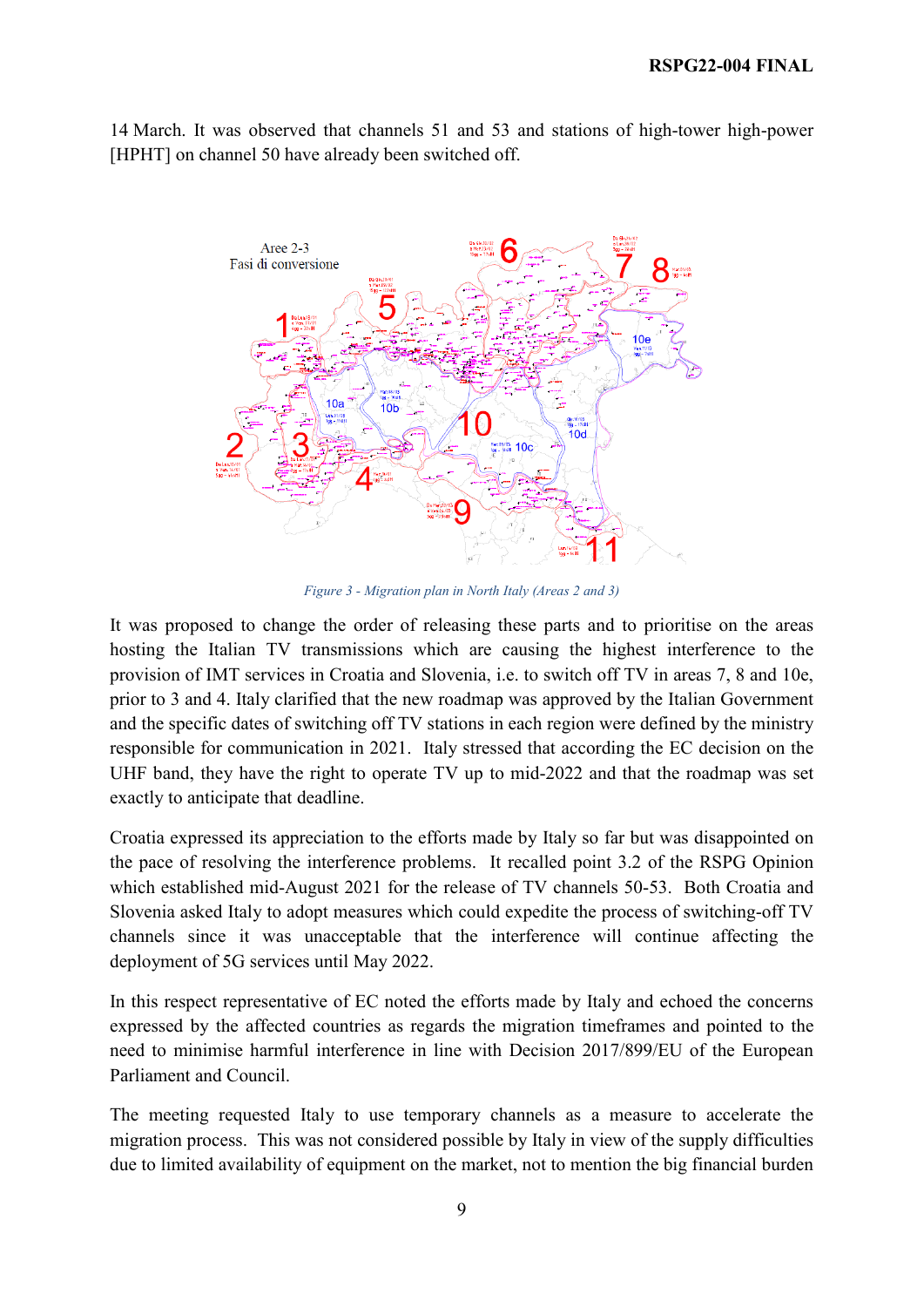14 March. It was observed that channels 51 and 53 and stations of high-tower high-power [HPHT] on channel 50 have already been switched off.



*Figure 3 - Migration plan in North Italy (Areas 2 and 3)*

It was proposed to change the order of releasing these parts and to prioritise on the areas hosting the Italian TV transmissions which are causing the highest interference to the provision of IMT services in Croatia and Slovenia, i.e. to switch off TV in areas 7, 8 and 10e, prior to 3 and 4. Italy clarified that the new roadmap was approved by the Italian Government and the specific dates of switching off TV stations in each region were defined by the ministry responsible for communication in 2021. Italy stressed that according the EC decision on the UHF band, they have the right to operate TV up to mid-2022 and that the roadmap was set exactly to anticipate that deadline.

Croatia expressed its appreciation to the efforts made by Italy so far but was disappointed on the pace of resolving the interference problems. It recalled point 3.2 of the RSPG Opinion which established mid-August 2021 for the release of TV channels 50-53. Both Croatia and Slovenia asked Italy to adopt measures which could expedite the process of switching-off TV channels since it was unacceptable that the interference will continue affecting the deployment of 5G services until May 2022.

In this respect representative of EC noted the efforts made by Italy and echoed the concerns expressed by the affected countries as regards the migration timeframes and pointed to the need to minimise harmful interference in line with Decision 2017/899/EU of the European Parliament and Council.

The meeting requested Italy to use temporary channels as a measure to accelerate the migration process. This was not considered possible by Italy in view of the supply difficulties due to limited availability of equipment on the market, not to mention the big financial burden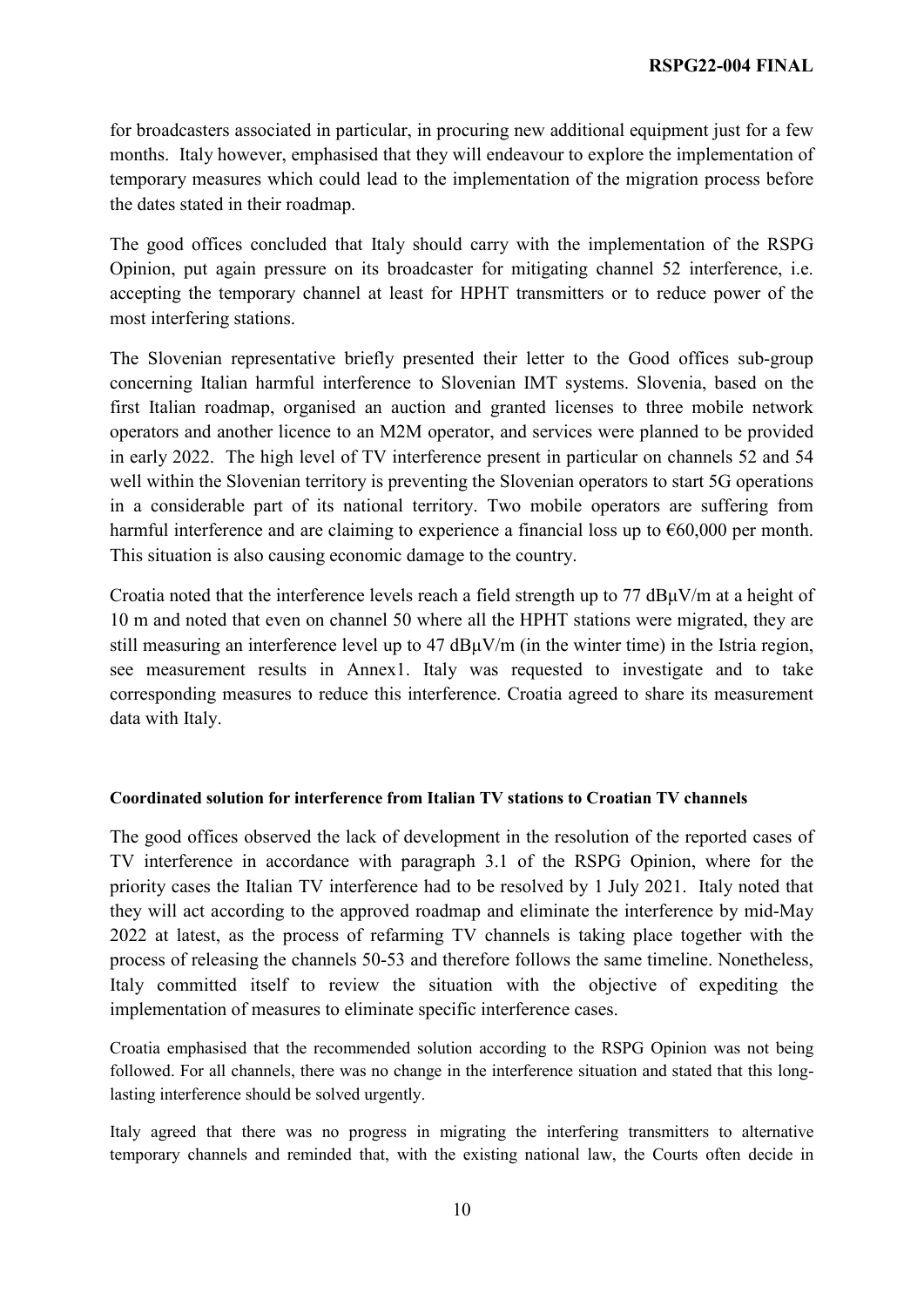for broadcasters associated in particular, in procuring new additional equipment just for a few months. Italy however, emphasised that they will endeavour to explore the implementation of temporary measures which could lead to the implementation of the migration process before the dates stated in their roadmap.

The good offices concluded that Italy should carry with the implementation of the RSPG Opinion, put again pressure on its broadcaster for mitigating channel 52 interference, i.e. accepting the temporary channel at least for HPHT transmitters or to reduce power of the most interfering stations.

The Slovenian representative briefly presented their letter to the Good offices sub-group concerning Italian harmful interference to Slovenian IMT systems. Slovenia, based on the first Italian roadmap, organised an auction and granted licenses to three mobile network operators and another licence to an M2M operator, and services were planned to be provided in early 2022. The high level of TV interference present in particular on channels 52 and 54 well within the Slovenian territory is preventing the Slovenian operators to start 5G operations in a considerable part of its national territory. Two mobile operators are suffering from harmful interference and are claiming to experience a financial loss up to  $\epsilon$ 60,000 per month. This situation is also causing economic damage to the country.

Croatia noted that the interference levels reach a field strength up to 77 dBμV/m at a height of 10 m and noted that even on channel 50 where all the HPHT stations were migrated, they are still measuring an interference level up to 47 dBμV/m (in the winter time) in the Istria region, see measurement results in Annex1. Italy was requested to investigate and to take corresponding measures to reduce this interference. Croatia agreed to share its measurement data with Italy.

### **Coordinated solution for interference from Italian TV stations to Croatian TV channels**

The good offices observed the lack of development in the resolution of the reported cases of TV interference in accordance with paragraph 3.1 of the RSPG Opinion, where for the priority cases the Italian TV interference had to be resolved by 1 July 2021. Italy noted that they will act according to the approved roadmap and eliminate the interference by mid-May 2022 at latest, as the process of refarming TV channels is taking place together with the process of releasing the channels 50-53 and therefore follows the same timeline. Nonetheless, Italy committed itself to review the situation with the objective of expediting the implementation of measures to eliminate specific interference cases.

Croatia emphasised that the recommended solution according to the RSPG Opinion was not being followed. For all channels, there was no change in the interference situation and stated that this longlasting interference should be solved urgently.

Italy agreed that there was no progress in migrating the interfering transmitters to alternative temporary channels and reminded that, with the existing national law, the Courts often decide in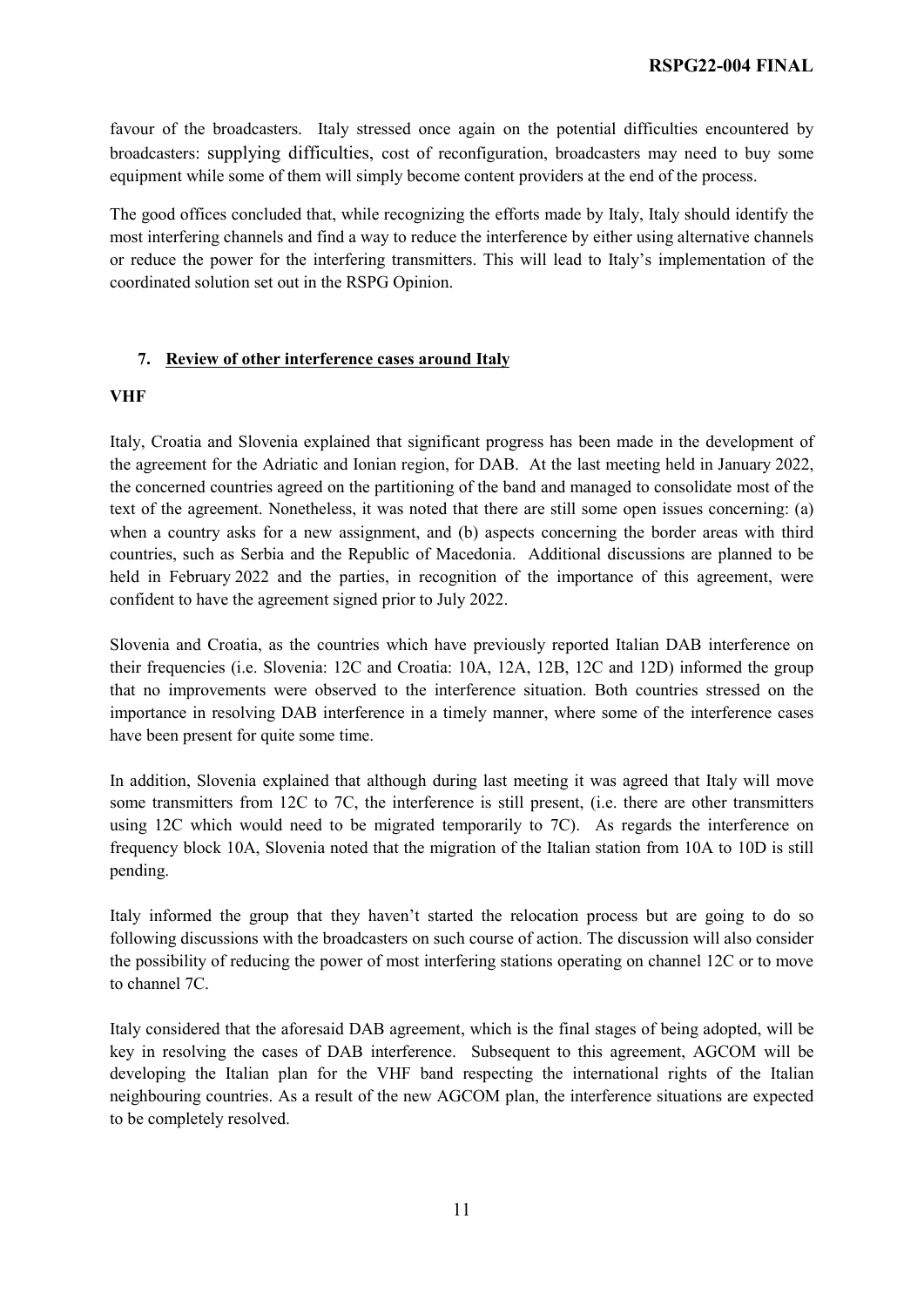favour of the broadcasters. Italy stressed once again on the potential difficulties encountered by broadcasters: supplying difficulties, cost of reconfiguration, broadcasters may need to buy some equipment while some of them will simply become content providers at the end of the process.

The good offices concluded that, while recognizing the efforts made by Italy, Italy should identify the most interfering channels and find a way to reduce the interference by either using alternative channels or reduce the power for the interfering transmitters. This will lead to Italy's implementation of the coordinated solution set out in the RSPG Opinion.

### **7. Review of other interference cases around Italy**

### **VHF**

Italy, Croatia and Slovenia explained that significant progress has been made in the development of the agreement for the Adriatic and Ionian region, for DAB. At the last meeting held in January 2022, the concerned countries agreed on the partitioning of the band and managed to consolidate most of the text of the agreement. Nonetheless, it was noted that there are still some open issues concerning: (a) when a country asks for a new assignment, and (b) aspects concerning the border areas with third countries, such as Serbia and the Republic of Macedonia. Additional discussions are planned to be held in February 2022 and the parties, in recognition of the importance of this agreement, were confident to have the agreement signed prior to July 2022.

Slovenia and Croatia, as the countries which have previously reported Italian DAB interference on their frequencies (i.e. Slovenia: 12C and Croatia: 10A, 12A, 12B, 12C and 12D) informed the group that no improvements were observed to the interference situation. Both countries stressed on the importance in resolving DAB interference in a timely manner, where some of the interference cases have been present for quite some time.

In addition, Slovenia explained that although during last meeting it was agreed that Italy will move some transmitters from 12C to 7C, the interference is still present, (i.e. there are other transmitters using 12C which would need to be migrated temporarily to 7C). As regards the interference on frequency block 10A, Slovenia noted that the migration of the Italian station from 10A to 10D is still pending.

Italy informed the group that they haven't started the relocation process but are going to do so following discussions with the broadcasters on such course of action. The discussion will also consider the possibility of reducing the power of most interfering stations operating on channel 12C or to move to channel 7C.

Italy considered that the aforesaid DAB agreement, which is the final stages of being adopted, will be key in resolving the cases of DAB interference. Subsequent to this agreement, AGCOM will be developing the Italian plan for the VHF band respecting the international rights of the Italian neighbouring countries. As a result of the new AGCOM plan, the interference situations are expected to be completely resolved.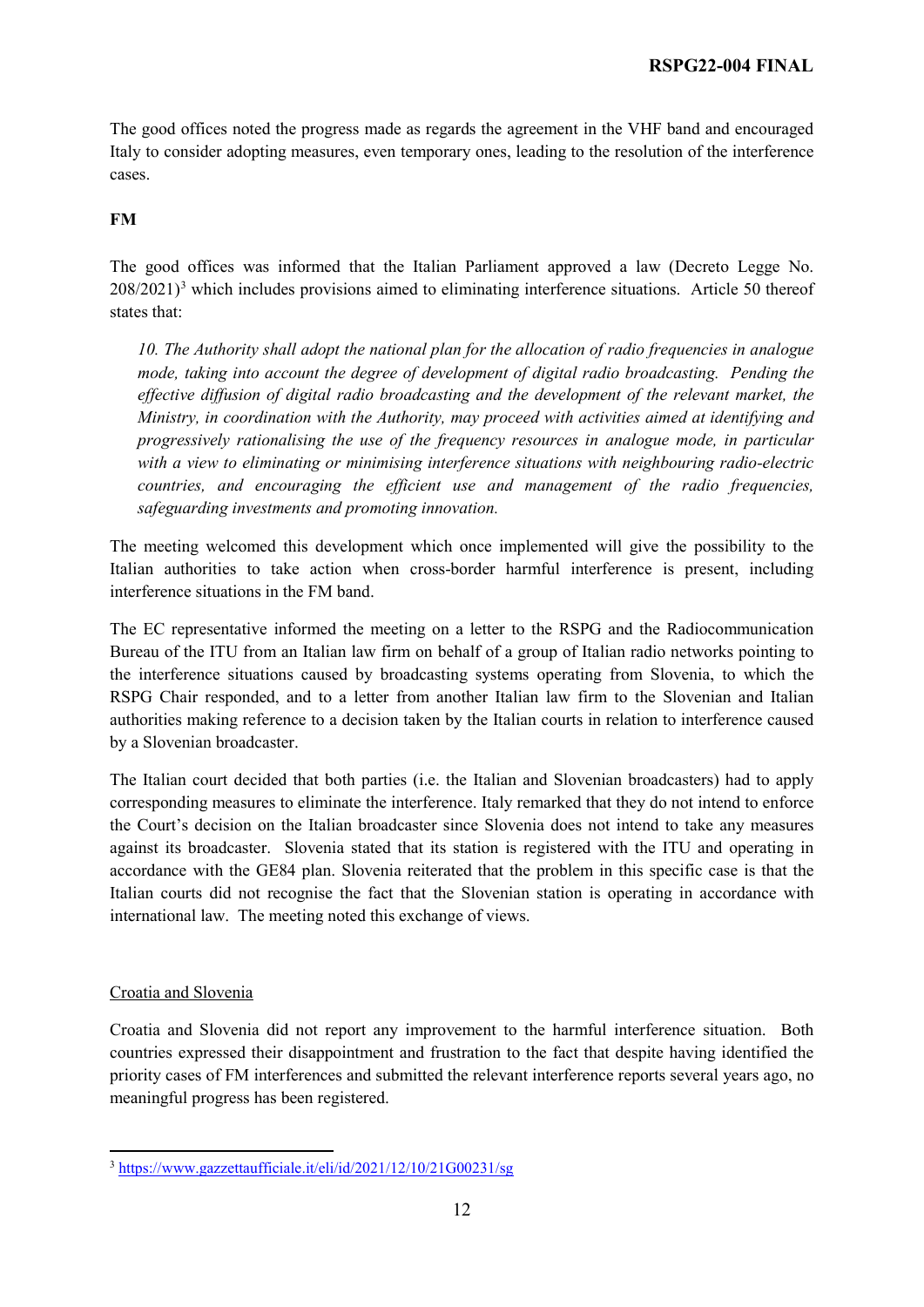The good offices noted the progress made as regards the agreement in the VHF band and encouraged Italy to consider adopting measures, even temporary ones, leading to the resolution of the interference cases.

### **FM**

The good offices was informed that the Italian Parliament approved a law (Decreto Legge No.  $208/2021$ <sup>[3](#page-11-0)</sup> which includes provisions aimed to eliminating interference situations. Article 50 thereof states that:

*10. The Authority shall adopt the national plan for the allocation of radio frequencies in analogue mode, taking into account the degree of development of digital radio broadcasting. Pending the effective diffusion of digital radio broadcasting and the development of the relevant market, the Ministry, in coordination with the Authority, may proceed with activities aimed at identifying and progressively rationalising the use of the frequency resources in analogue mode, in particular with a view to eliminating or minimising interference situations with neighbouring radio-electric countries, and encouraging the efficient use and management of the radio frequencies, safeguarding investments and promoting innovation.* 

The meeting welcomed this development which once implemented will give the possibility to the Italian authorities to take action when cross-border harmful interference is present, including interference situations in the FM band.

The EC representative informed the meeting on a letter to the RSPG and the Radiocommunication Bureau of the ITU from an Italian law firm on behalf of a group of Italian radio networks pointing to the interference situations caused by broadcasting systems operating from Slovenia, to which the RSPG Chair responded, and to a letter from another Italian law firm to the Slovenian and Italian authorities making reference to a decision taken by the Italian courts in relation to interference caused by a Slovenian broadcaster.

The Italian court decided that both parties (i.e. the Italian and Slovenian broadcasters) had to apply corresponding measures to eliminate the interference. Italy remarked that they do not intend to enforce the Court's decision on the Italian broadcaster since Slovenia does not intend to take any measures against its broadcaster. Slovenia stated that its station is registered with the ITU and operating in accordance with the GE84 plan. Slovenia reiterated that the problem in this specific case is that the Italian courts did not recognise the fact that the Slovenian station is operating in accordance with international law. The meeting noted this exchange of views.

### Croatia and Slovenia

Croatia and Slovenia did not report any improvement to the harmful interference situation. Both countries expressed their disappointment and frustration to the fact that despite having identified the priority cases of FM interferences and submitted the relevant interference reports several years ago, no meaningful progress has been registered.

<span id="page-11-0"></span> $\overline{a}$ <sup>3</sup> <https://www.gazzettaufficiale.it/eli/id/2021/12/10/21G00231/sg>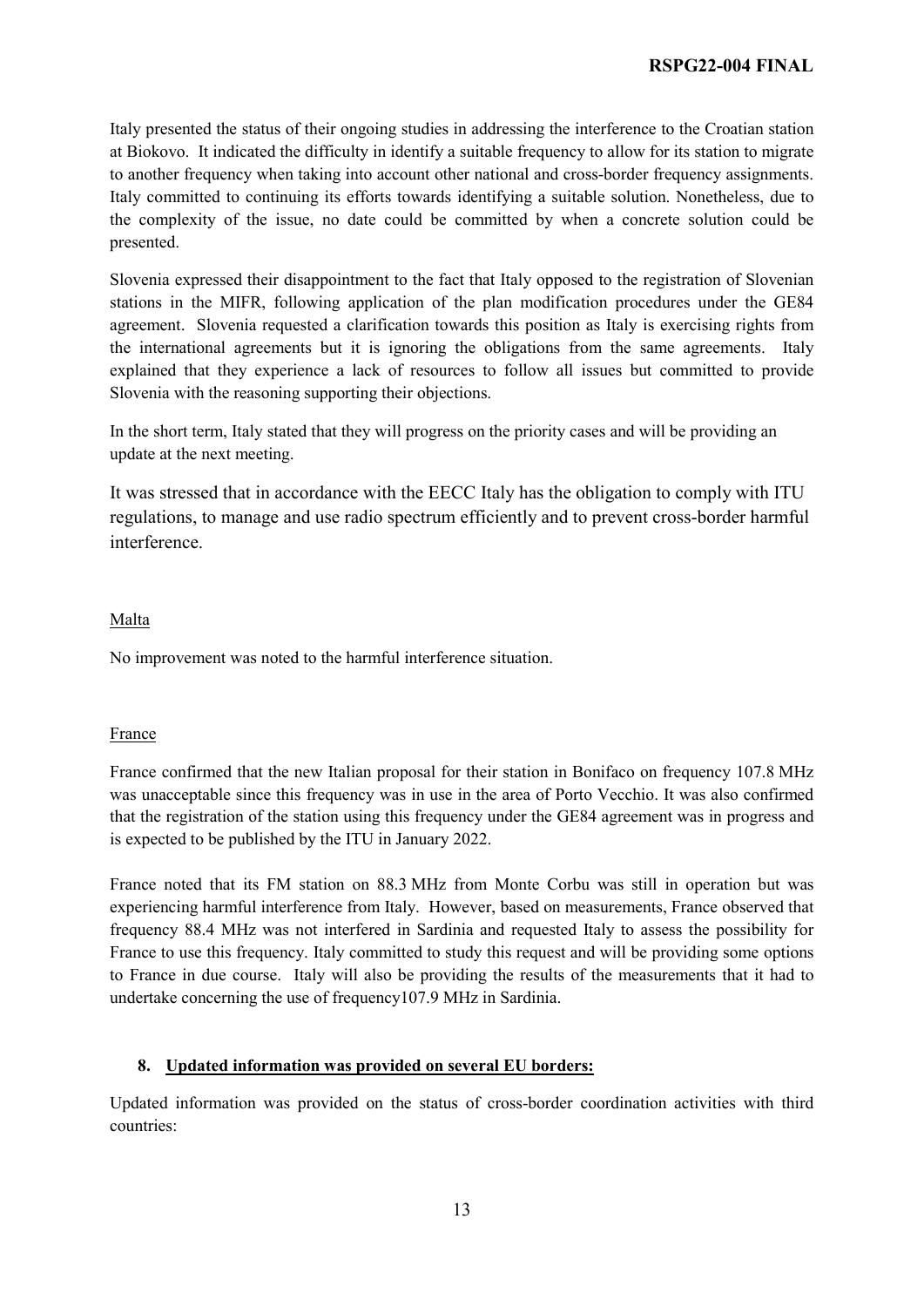Italy presented the status of their ongoing studies in addressing the interference to the Croatian station at Biokovo. It indicated the difficulty in identify a suitable frequency to allow for its station to migrate to another frequency when taking into account other national and cross-border frequency assignments. Italy committed to continuing its efforts towards identifying a suitable solution. Nonetheless, due to the complexity of the issue, no date could be committed by when a concrete solution could be presented.

Slovenia expressed their disappointment to the fact that Italy opposed to the registration of Slovenian stations in the MIFR, following application of the plan modification procedures under the GE84 agreement. Slovenia requested a clarification towards this position as Italy is exercising rights from the international agreements but it is ignoring the obligations from the same agreements. Italy explained that they experience a lack of resources to follow all issues but committed to provide Slovenia with the reasoning supporting their objections.

In the short term, Italy stated that they will progress on the priority cases and will be providing an update at the next meeting.

It was stressed that in accordance with the EECC Italy has the obligation to comply with ITU regulations, to manage and use radio spectrum efficiently and to prevent cross-border harmful interference.

#### Malta

No improvement was noted to the harmful interference situation.

### France

France confirmed that the new Italian proposal for their station in Bonifaco on frequency 107.8 MHz was unacceptable since this frequency was in use in the area of Porto Vecchio. It was also confirmed that the registration of the station using this frequency under the GE84 agreement was in progress and is expected to be published by the ITU in January 2022.

France noted that its FM station on 88.3 MHz from Monte Corbu was still in operation but was experiencing harmful interference from Italy. However, based on measurements, France observed that frequency 88.4 MHz was not interfered in Sardinia and requested Italy to assess the possibility for France to use this frequency. Italy committed to study this request and will be providing some options to France in due course. Italy will also be providing the results of the measurements that it had to undertake concerning the use of frequency107.9 MHz in Sardinia.

### **8. Updated information was provided on several EU borders:**

Updated information was provided on the status of cross-border coordination activities with third countries: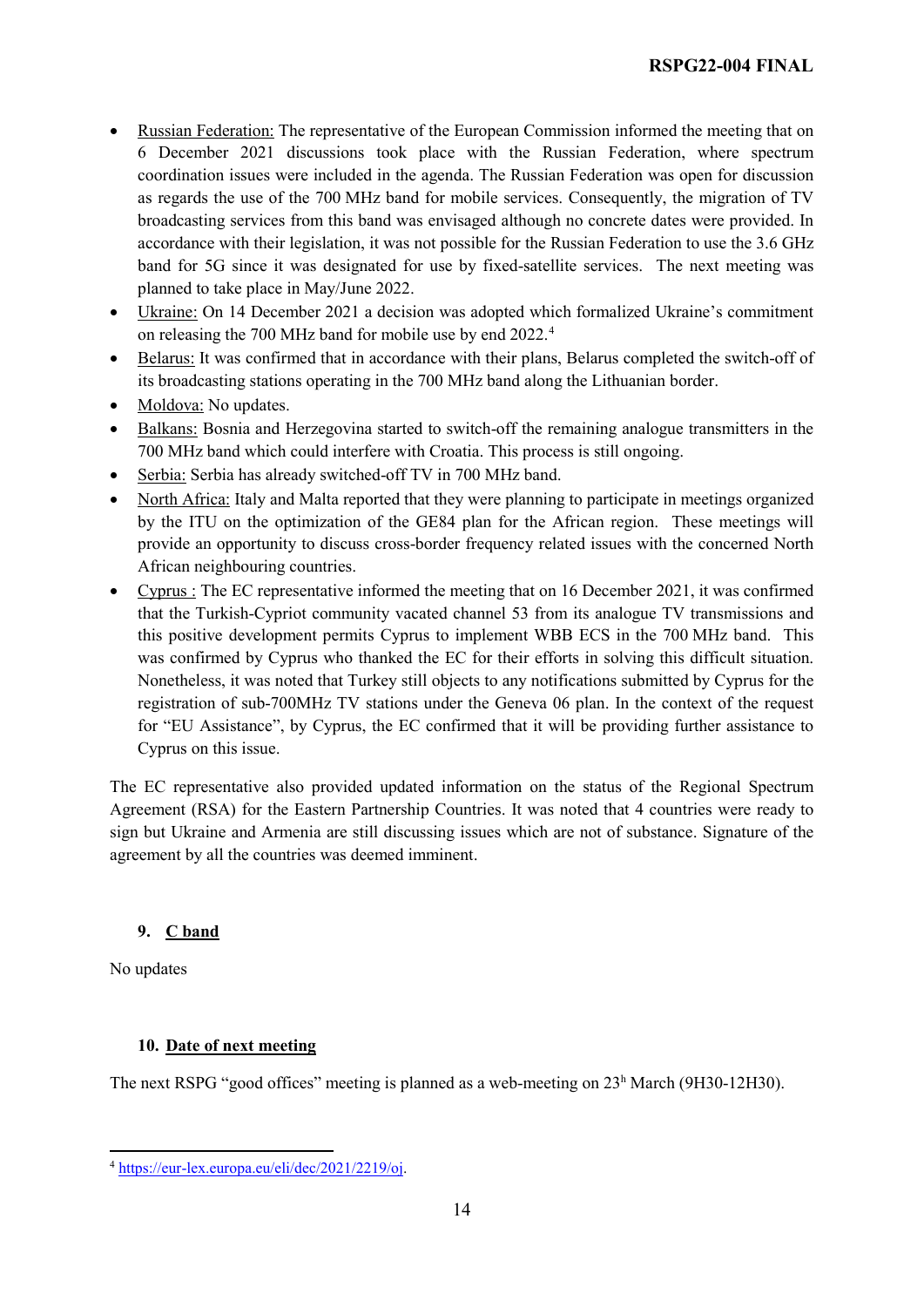- Russian Federation: The representative of the European Commission informed the meeting that on 6 December 2021 discussions took place with the Russian Federation, where spectrum coordination issues were included in the agenda. The Russian Federation was open for discussion as regards the use of the 700 MHz band for mobile services. Consequently, the migration of TV broadcasting services from this band was envisaged although no concrete dates were provided. In accordance with their legislation, it was not possible for the Russian Federation to use the 3.6 GHz band for 5G since it was designated for use by fixed-satellite services. The next meeting was planned to take place in May/June 2022.
- Ukraine: On 14 December 2021 a decision was adopted which formalized Ukraine's commitment on releasing the 700 MHz band for mobile use by end 2022.[4](#page-13-0)
- Belarus: It was confirmed that in accordance with their plans, Belarus completed the switch-off of its broadcasting stations operating in the 700 MHz band along the Lithuanian border.
- Moldova: No updates.
- Balkans: Bosnia and Herzegovina started to switch-off the remaining analogue transmitters in the 700 MHz band which could interfere with Croatia. This process is still ongoing.
- Serbia: Serbia has already switched-off TV in 700 MHz band.
- North Africa: Italy and Malta reported that they were planning to participate in meetings organized by the ITU on the optimization of the GE84 plan for the African region. These meetings will provide an opportunity to discuss cross-border frequency related issues with the concerned North African neighbouring countries.
- Cyprus : The EC representative informed the meeting that on 16 December 2021, it was confirmed that the Turkish-Cypriot community vacated channel 53 from its analogue TV transmissions and this positive development permits Cyprus to implement WBB ECS in the 700 MHz band. This was confirmed by Cyprus who thanked the EC for their efforts in solving this difficult situation. Nonetheless, it was noted that Turkey still objects to any notifications submitted by Cyprus for the registration of sub-700MHz TV stations under the Geneva 06 plan. In the context of the request for "EU Assistance", by Cyprus, the EC confirmed that it will be providing further assistance to Cyprus on this issue.

The EC representative also provided updated information on the status of the Regional Spectrum Agreement (RSA) for the Eastern Partnership Countries. It was noted that 4 countries were ready to sign but Ukraine and Armenia are still discussing issues which are not of substance. Signature of the agreement by all the countries was deemed imminent.

### **9. C band**

No updates

#### **10. Date of next meeting**

The next RSPG "good offices" meeting is planned as a web-meeting on 23h March (9H30-12H30).

<span id="page-13-0"></span> $\overline{a}$ <sup>4</sup> [https://eur-lex.europa.eu/eli/dec/2021/2219/oj.](https://eur-lex.europa.eu/eli/dec/2021/2219/oj)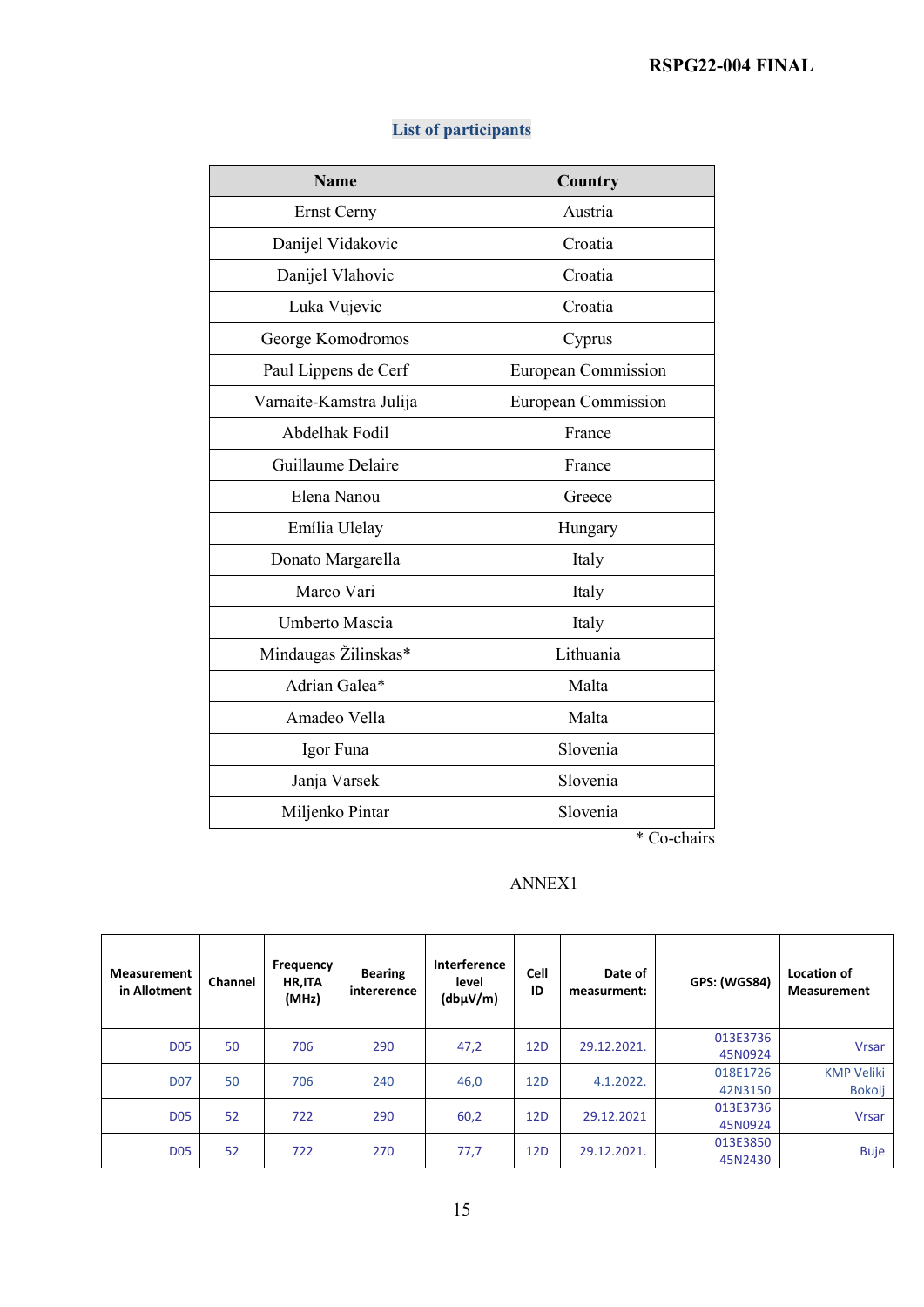| <b>Name</b>             | Country                    |  |  |
|-------------------------|----------------------------|--|--|
| <b>Ernst Cerny</b>      | Austria                    |  |  |
| Danijel Vidakovic       | Croatia                    |  |  |
| Danijel Vlahovic        | Croatia                    |  |  |
| Luka Vujevic            | Croatia                    |  |  |
| George Komodromos       | Cyprus                     |  |  |
| Paul Lippens de Cerf    | European Commission        |  |  |
| Varnaite-Kamstra Julija | <b>European Commission</b> |  |  |
| Abdelhak Fodil          | France                     |  |  |
| Guillaume Delaire       | France                     |  |  |
| Elena Nanou             | Greece                     |  |  |
| Emília Ulelay           | Hungary                    |  |  |
| Donato Margarella       | Italy                      |  |  |
| Marco Vari              | Italy                      |  |  |
| Umberto Mascia          | Italy                      |  |  |
| Mindaugas Žilinskas*    | Lithuania                  |  |  |
| Adrian Galea*           | Malta                      |  |  |
| Amadeo Vella            | Malta                      |  |  |
| Igor Funa               | Slovenia                   |  |  |
| Janja Varsek            | Slovenia                   |  |  |
| Miljenko Pintar         | Slovenia                   |  |  |

## **List of participants**

\* Co-chairs

### ANNEX1

| <b>Measurement</b><br>in Allotment | Channel | Frequency<br>HR, ITA<br>(MHz) | <b>Bearing</b><br>intererence | Interference<br>level<br>(dbp V/m) | <b>Cell</b><br>ID | Date of<br>measurment: | <b>GPS: (WGS84)</b> | <b>Location of</b><br><b>Measurement</b> |
|------------------------------------|---------|-------------------------------|-------------------------------|------------------------------------|-------------------|------------------------|---------------------|------------------------------------------|
| <b>D05</b>                         | 50      | 706                           | 290                           | 47,2                               | 12 <sub>D</sub>   | 29.12.2021.            | 013E3736<br>45N0924 | <b>Vrsar</b>                             |
| <b>D07</b>                         | 50      | 706                           | 240                           | 46,0                               | 12 <sub>D</sub>   | 4.1.2022.              | 018E1726<br>42N3150 | <b>KMP Veliki</b><br>Bokolj              |
| <b>D05</b>                         | 52      | 722                           | 290                           | 60,2                               | 12 <sub>D</sub>   | 29.12.2021             | 013E3736<br>45N0924 | <b>Vrsar</b>                             |
| <b>D05</b>                         | 52      | 722                           | 270                           | 77,7                               | 12 <sub>D</sub>   | 29.12.2021.            | 013E3850<br>45N2430 | <b>Buje</b>                              |